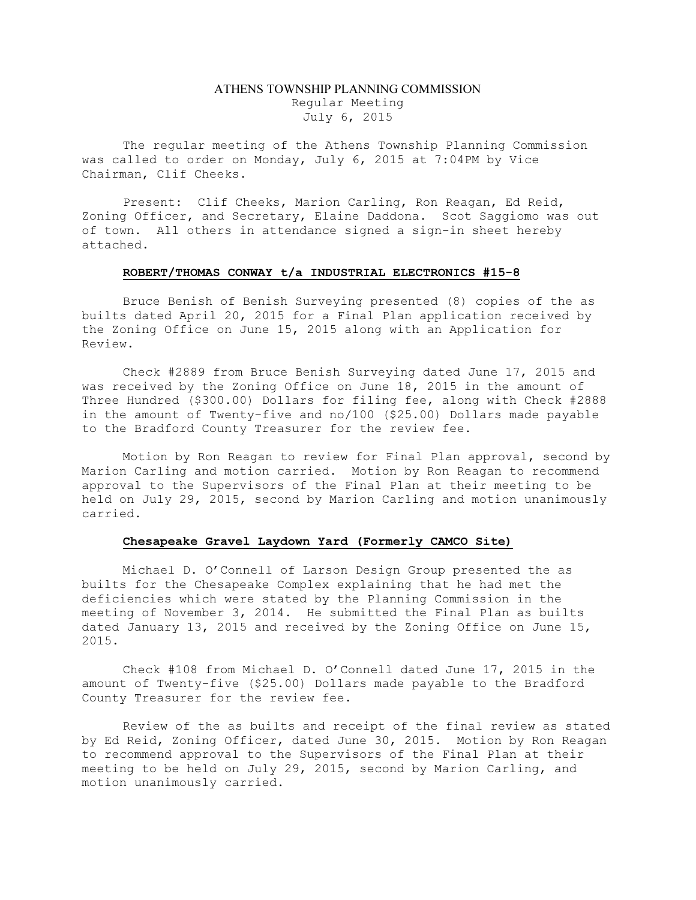# ATHENS TOWNSHIP PLANNING COMMISSION Regular Meeting July 6, 2015

The regular meeting of the Athens Township Planning Commission was called to order on Monday, July 6, 2015 at 7:04PM by Vice Chairman, Clif Cheeks.

Present: Clif Cheeks, Marion Carling, Ron Reagan, Ed Reid, Zoning Officer, and Secretary, Elaine Daddona. Scot Saggiomo was out of town. All others in attendance signed a sign-in sheet hereby attached.

#### ROBERT/THOMAS CONWAY t/a INDUSTRIAL ELECTRONICS #15-8

Bruce Benish of Benish Surveying presented (8) copies of the as builts dated April 20, 2015 for a Final Plan application received by the Zoning Office on June 15, 2015 along with an Application for Review.

Check #2889 from Bruce Benish Surveying dated June 17, 2015 and was received by the Zoning Office on June 18, 2015 in the amount of Three Hundred (\$300.00) Dollars for filing fee, along with Check #2888 in the amount of Twenty-five and no/100 (\$25.00) Dollars made payable to the Bradford County Treasurer for the review fee.

Motion by Ron Reagan to review for Final Plan approval, second by Marion Carling and motion carried. Motion by Ron Reagan to recommend approval to the Supervisors of the Final Plan at their meeting to be held on July 29, 2015, second by Marion Carling and motion unanimously carried.

#### Chesapeake Gravel Laydown Yard (Formerly CAMCO Site)

Michael D. O'Connell of Larson Design Group presented the as builts for the Chesapeake Complex explaining that he had met the deficiencies which were stated by the Planning Commission in the meeting of November 3, 2014. He submitted the Final Plan as builts dated January 13, 2015 and received by the Zoning Office on June 15, 2015.

Check #108 from Michael D. O'Connell dated June 17, 2015 in the amount of Twenty-five (\$25.00) Dollars made payable to the Bradford County Treasurer for the review fee.

Review of the as builts and receipt of the final review as stated by Ed Reid, Zoning Officer, dated June 30, 2015. Motion by Ron Reagan to recommend approval to the Supervisors of the Final Plan at their meeting to be held on July 29, 2015, second by Marion Carling, and motion unanimously carried.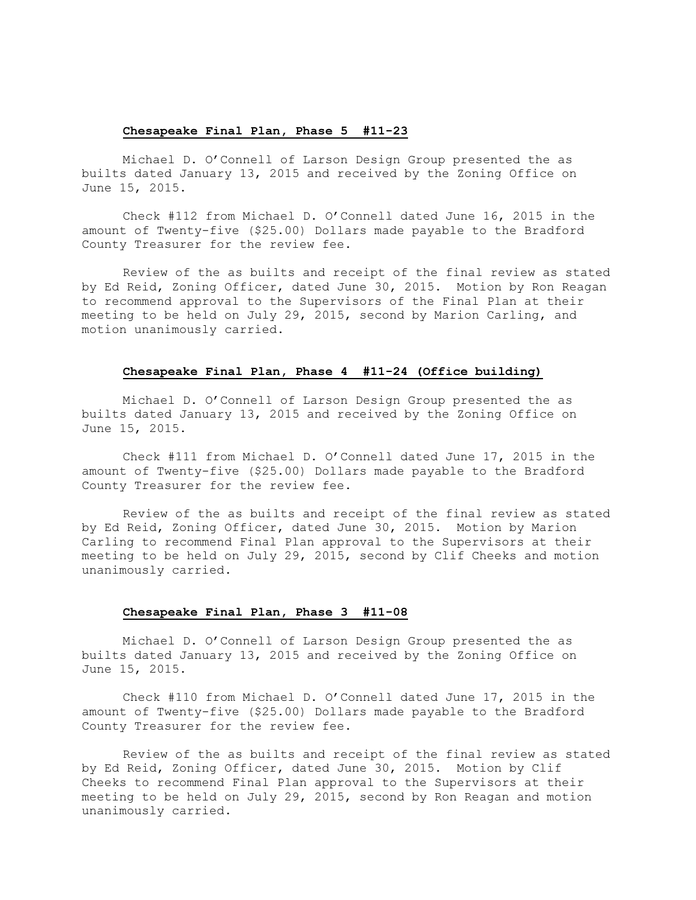# Chesapeake Final Plan, Phase 5 #11-23

Michael D. O'Connell of Larson Design Group presented the as builts dated January 13, 2015 and received by the Zoning Office on June 15, 2015.

Check #112 from Michael D. O'Connell dated June 16, 2015 in the amount of Twenty-five (\$25.00) Dollars made payable to the Bradford County Treasurer for the review fee.

Review of the as builts and receipt of the final review as stated by Ed Reid, Zoning Officer, dated June 30, 2015. Motion by Ron Reagan to recommend approval to the Supervisors of the Final Plan at their meeting to be held on July 29, 2015, second by Marion Carling, and motion unanimously carried.

#### Chesapeake Final Plan, Phase 4 #11-24 (Office building)

Michael D. O'Connell of Larson Design Group presented the as builts dated January 13, 2015 and received by the Zoning Office on June 15, 2015.

Check #111 from Michael D. O'Connell dated June 17, 2015 in the amount of Twenty-five (\$25.00) Dollars made payable to the Bradford County Treasurer for the review fee.

Review of the as builts and receipt of the final review as stated by Ed Reid, Zoning Officer, dated June 30, 2015. Motion by Marion Carling to recommend Final Plan approval to the Supervisors at their meeting to be held on July 29, 2015, second by Clif Cheeks and motion unanimously carried.

# Chesapeake Final Plan, Phase 3 #11-08

Michael D. O'Connell of Larson Design Group presented the as builts dated January 13, 2015 and received by the Zoning Office on June 15, 2015.

Check #110 from Michael D. O'Connell dated June 17, 2015 in the amount of Twenty-five (\$25.00) Dollars made payable to the Bradford County Treasurer for the review fee.

Review of the as builts and receipt of the final review as stated by Ed Reid, Zoning Officer, dated June 30, 2015. Motion by Clif Cheeks to recommend Final Plan approval to the Supervisors at their meeting to be held on July 29, 2015, second by Ron Reagan and motion unanimously carried.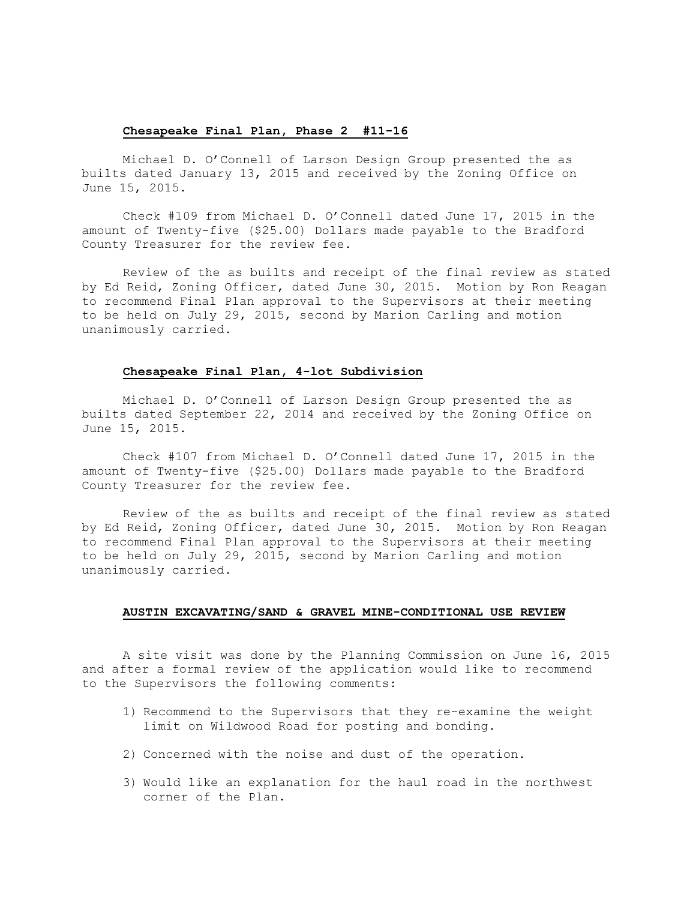# Chesapeake Final Plan, Phase 2 #11-16

Michael D. O'Connell of Larson Design Group presented the as builts dated January 13, 2015 and received by the Zoning Office on June 15, 2015.

Check #109 from Michael D. O'Connell dated June 17, 2015 in the amount of Twenty-five (\$25.00) Dollars made payable to the Bradford County Treasurer for the review fee.

Review of the as builts and receipt of the final review as stated by Ed Reid, Zoning Officer, dated June 30, 2015. Motion by Ron Reagan to recommend Final Plan approval to the Supervisors at their meeting to be held on July 29, 2015, second by Marion Carling and motion unanimously carried.

#### Chesapeake Final Plan, 4-lot Subdivision

Michael D. O'Connell of Larson Design Group presented the as builts dated September 22, 2014 and received by the Zoning Office on June 15, 2015.

Check #107 from Michael D. O'Connell dated June 17, 2015 in the amount of Twenty-five (\$25.00) Dollars made payable to the Bradford County Treasurer for the review fee.

Review of the as builts and receipt of the final review as stated by Ed Reid, Zoning Officer, dated June 30, 2015. Motion by Ron Reagan to recommend Final Plan approval to the Supervisors at their meeting to be held on July 29, 2015, second by Marion Carling and motion unanimously carried.

## AUSTIN EXCAVATING/SAND & GRAVEL MINE-CONDITIONAL USE REVIEW

A site visit was done by the Planning Commission on June 16, 2015 and after a formal review of the application would like to recommend to the Supervisors the following comments:

- 1) Recommend to the Supervisors that they re-examine the weight limit on Wildwood Road for posting and bonding.
- 2) Concerned with the noise and dust of the operation.
- 3) Would like an explanation for the haul road in the northwest corner of the Plan.